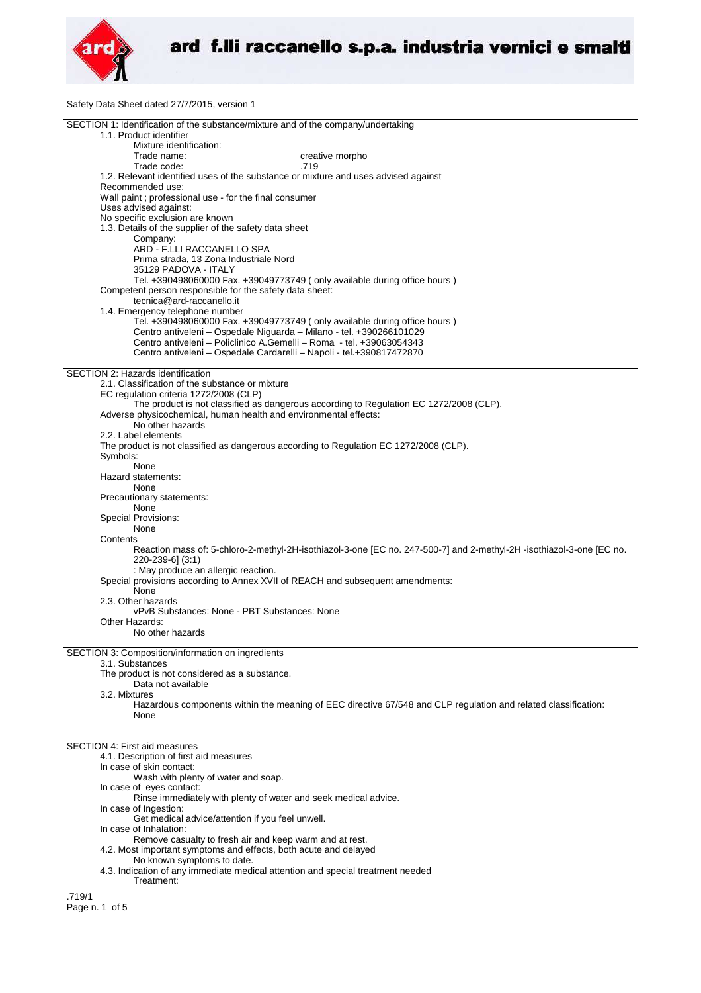

Safety Data Sheet dated 27/7/2015, version 1

| SECTION 1: Identification of the substance/mixture and of the company/undertaking                                                       |
|-----------------------------------------------------------------------------------------------------------------------------------------|
| 1.1. Product identifier                                                                                                                 |
| Mixture identification:<br>Trade name:<br>creative morpho                                                                               |
| Trade code:<br>.719                                                                                                                     |
| 1.2. Relevant identified uses of the substance or mixture and uses advised against                                                      |
| Recommended use:<br>Wall paint ; professional use - for the final consumer                                                              |
| Uses advised against:                                                                                                                   |
| No specific exclusion are known                                                                                                         |
| 1.3. Details of the supplier of the safety data sheet<br>Company:                                                                       |
| ARD - F.LLI RACCANELLO SPA                                                                                                              |
| Prima strada, 13 Zona Industriale Nord                                                                                                  |
| 35129 PADOVA - ITALY<br>Tel. +390498060000 Fax. +39049773749 (only available during office hours )                                      |
| Competent person responsible for the safety data sheet:                                                                                 |
| tecnica@ard-raccanello.it                                                                                                               |
| 1.4. Emergency telephone number<br>Tel. +390498060000 Fax. +39049773749 (only available during office hours)                            |
| Centro antiveleni - Ospedale Niguarda - Milano - tel. +390266101029                                                                     |
| Centro antiveleni – Policlinico A.Gemelli – Roma - tel. +39063054343                                                                    |
| Centro antiveleni - Ospedale Cardarelli - Napoli - tel.+390817472870                                                                    |
| SECTION 2: Hazards identification                                                                                                       |
| 2.1. Classification of the substance or mixture<br>EC regulation criteria 1272/2008 (CLP)                                               |
| The product is not classified as dangerous according to Regulation EC 1272/2008 (CLP).                                                  |
| Adverse physicochemical, human health and environmental effects:                                                                        |
| No other hazards<br>2.2. Label elements                                                                                                 |
| The product is not classified as dangerous according to Regulation EC 1272/2008 (CLP).                                                  |
| Symbols:                                                                                                                                |
| None<br>Hazard statements:                                                                                                              |
| None                                                                                                                                    |
| Precautionary statements:                                                                                                               |
| None<br><b>Special Provisions:</b>                                                                                                      |
| None                                                                                                                                    |
| Contents                                                                                                                                |
| Reaction mass of: 5-chloro-2-methyl-2H-isothiazol-3-one [EC no. 247-500-7] and 2-methyl-2H-isothiazol-3-one [EC no.<br>220-239-6] (3:1) |
| : May produce an allergic reaction.                                                                                                     |
| Special provisions according to Annex XVII of REACH and subsequent amendments:                                                          |
| None<br>2.3. Other hazards                                                                                                              |
| vPvB Substances: None - PBT Substances: None                                                                                            |
| Other Hazards:<br>No other hazards                                                                                                      |
|                                                                                                                                         |
| SECTION 3: Composition/information on ingredients                                                                                       |
| 3.1. Substances<br>The product is not considered as a substance.                                                                        |
| Data not available                                                                                                                      |
| 3.2. Mixtures                                                                                                                           |
| Hazardous components within the meaning of EEC directive 67/548 and CLP regulation and related classification:<br>None                  |
|                                                                                                                                         |
| <b>SECTION 4: First aid measures</b>                                                                                                    |
| 4.1. Description of first aid measures                                                                                                  |
| In case of skin contact:                                                                                                                |
| Wash with plenty of water and soap.<br>In case of eyes contact:                                                                         |
| Rinse immediately with plenty of water and seek medical advice.                                                                         |
| In case of Ingestion:                                                                                                                   |
| Get medical advice/attention if you feel unwell.<br>In case of Inhalation:                                                              |
| Remove casualty to fresh air and keep warm and at rest.                                                                                 |
| 4.2. Most important symptoms and effects, both acute and delayed                                                                        |
| No known symptoms to date.<br>4.3. Indication of any immediate medical attention and special treatment needed                           |
| Treatment:                                                                                                                              |
| .719/1                                                                                                                                  |
| Page n. 1 of 5                                                                                                                          |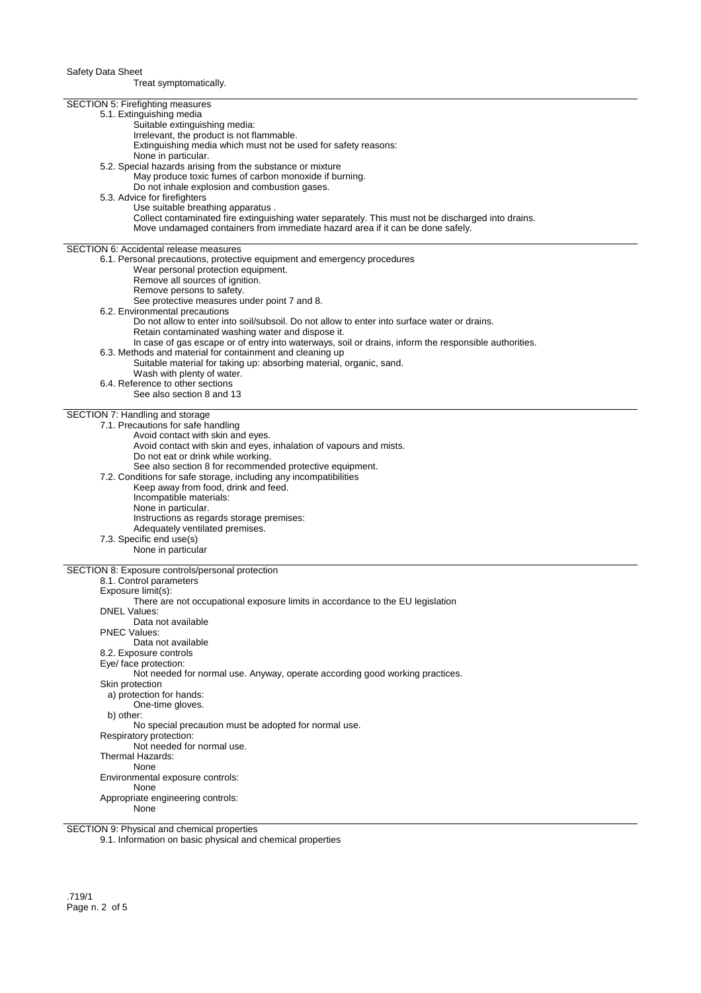Treat symptomatically.

| SECTION 5: Firefighting measures                                                                      |
|-------------------------------------------------------------------------------------------------------|
| 5.1. Extinguishing media                                                                              |
| Suitable extinguishing media:                                                                         |
| Irrelevant, the product is not flammable.                                                             |
|                                                                                                       |
| Extinguishing media which must not be used for safety reasons:                                        |
| None in particular.                                                                                   |
| 5.2. Special hazards arising from the substance or mixture                                            |
| May produce toxic fumes of carbon monoxide if burning.                                                |
| Do not inhale explosion and combustion gases.                                                         |
| 5.3. Advice for firefighters                                                                          |
| Use suitable breathing apparatus.                                                                     |
| Collect contaminated fire extinguishing water separately. This must not be discharged into drains.    |
| Move undamaged containers from immediate hazard area if it can be done safely.                        |
|                                                                                                       |
| <b>SECTION 6: Accidental release measures</b>                                                         |
| 6.1. Personal precautions, protective equipment and emergency procedures                              |
| Wear personal protection equipment.                                                                   |
| Remove all sources of ignition.                                                                       |
| Remove persons to safety.                                                                             |
| See protective measures under point 7 and 8.                                                          |
| 6.2. Environmental precautions                                                                        |
| Do not allow to enter into soil/subsoil. Do not allow to enter into surface water or drains.          |
| Retain contaminated washing water and dispose it.                                                     |
| In case of gas escape or of entry into waterways, soil or drains, inform the responsible authorities. |
| 6.3. Methods and material for containment and cleaning up                                             |
|                                                                                                       |
| Suitable material for taking up: absorbing material, organic, sand.                                   |
| Wash with plenty of water.                                                                            |
| 6.4. Reference to other sections                                                                      |
| See also section 8 and 13                                                                             |
|                                                                                                       |
| SECTION 7: Handling and storage                                                                       |
| 7.1. Precautions for safe handling                                                                    |
| Avoid contact with skin and eyes.                                                                     |
| Avoid contact with skin and eyes, inhalation of vapours and mists.                                    |
| Do not eat or drink while working.                                                                    |
| See also section 8 for recommended protective equipment.                                              |
| 7.2. Conditions for safe storage, including any incompatibilities                                     |
| Keep away from food, drink and feed.                                                                  |
| Incompatible materials:                                                                               |
| None in particular.                                                                                   |
| Instructions as regards storage premises:                                                             |
| Adequately ventilated premises.                                                                       |
| 7.3. Specific end use(s)                                                                              |
| None in particular                                                                                    |
|                                                                                                       |
| SECTION 8: Exposure controls/personal protection                                                      |
| 8.1. Control parameters                                                                               |
| Exposure limit(s):                                                                                    |
| There are not occupational exposure limits in accordance to the EU legislation                        |
| <b>DNEL Values:</b>                                                                                   |
| Data not available                                                                                    |
| <b>PNEC Values:</b>                                                                                   |
| Data not available                                                                                    |
| 8.2. Exposure controls                                                                                |
|                                                                                                       |
| Eye/ face protection:                                                                                 |
| Not needed for normal use. Anyway, operate according good working practices.                          |
| Skin protection                                                                                       |
| a) protection for hands:                                                                              |
| One-time gloves.                                                                                      |
| b) other:                                                                                             |
| No special precaution must be adopted for normal use.                                                 |
| Respiratory protection:                                                                               |
| Not needed for normal use.                                                                            |
| Thermal Hazards:                                                                                      |
| None                                                                                                  |
| Environmental exposure controls:                                                                      |
| None                                                                                                  |
| Appropriate engineering controls:                                                                     |
| None                                                                                                  |
|                                                                                                       |

SECTION 9: Physical and chemical properties

9.1. Information on basic physical and chemical properties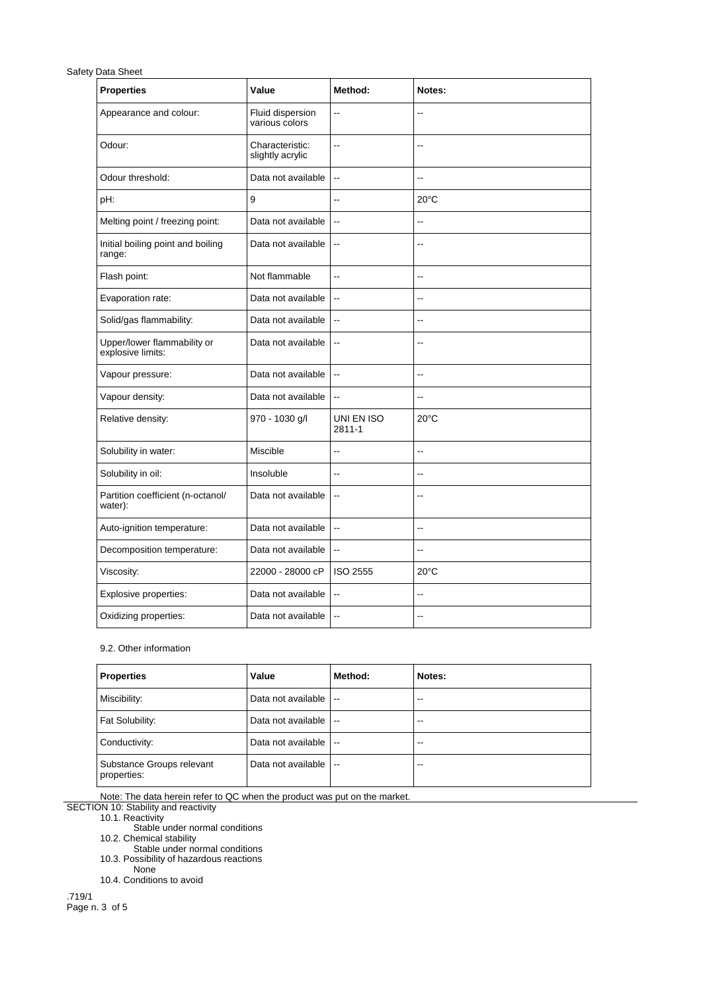## Safety Data Sheet

| <b>Properties</b>                                | Value                               | Method:                  | Notes:                   |
|--------------------------------------------------|-------------------------------------|--------------------------|--------------------------|
| Appearance and colour:                           | Fluid dispersion<br>various colors  | $\overline{a}$           | Ξ.                       |
| Odour:                                           | Characteristic:<br>slightly acrylic | Ξ.                       | $\overline{\phantom{a}}$ |
| Odour threshold:                                 | Data not available                  | $\ddotsc$                | --                       |
| pH:                                              | 9                                   | --                       | $20^{\circ}$ C           |
| Melting point / freezing point:                  | Data not available                  | $\overline{\phantom{a}}$ | $\overline{\phantom{a}}$ |
| Initial boiling point and boiling<br>range:      | Data not available                  | $\overline{\phantom{a}}$ | $\overline{a}$           |
| Flash point:                                     | Not flammable                       | $-$                      | $\sim$                   |
| Evaporation rate:                                | Data not available                  | $\overline{\phantom{a}}$ | $\overline{\phantom{a}}$ |
| Solid/gas flammability:                          | Data not available                  | $\overline{\phantom{a}}$ | Ξ.                       |
| Upper/lower flammability or<br>explosive limits: | Data not available                  | $\overline{\phantom{a}}$ | $\overline{\phantom{a}}$ |
| Vapour pressure:                                 | Data not available                  | $\overline{\phantom{a}}$ | $\overline{a}$           |
| Vapour density:                                  | Data not available                  | $\overline{\phantom{a}}$ | $\overline{\phantom{a}}$ |
| Relative density:                                | 970 - 1030 g/l                      | UNI EN ISO<br>$2811 - 1$ | $20^{\circ}$ C           |
| Solubility in water:                             | Miscible                            | $-$                      | Ξ.                       |
| Solubility in oil:                               | Insoluble                           | $\overline{a}$           | ٠.                       |
| Partition coefficient (n-octanol/<br>water):     | Data not available                  | $\overline{\phantom{a}}$ | ٠.                       |
| Auto-ignition temperature:                       | Data not available                  | $\overline{\phantom{a}}$ | Ξ.                       |
| Decomposition temperature:                       | Data not available                  | $\ddotsc$                | $\overline{\phantom{a}}$ |
| Viscosity:                                       | 22000 - 28000 cP                    | ISO 2555                 | $20^{\circ}$ C           |
| Explosive properties:                            | Data not available                  | $\ddotsc$                | $\overline{a}$           |
| Oxidizing properties:                            | Data not available                  | $\overline{\phantom{a}}$ | $\overline{a}$           |

## 9.2. Other information

| Properties                               | Value              | Method:                  | Notes: |
|------------------------------------------|--------------------|--------------------------|--------|
| Miscibility:                             | Data not available | $\overline{\phantom{a}}$ | $-1$   |
| Fat Solubility:                          | Data not available | $\overline{\phantom{a}}$ | $-1$   |
| Conductivity:                            | Data not available | $\overline{\phantom{a}}$ | --     |
| Substance Groups relevant<br>properties: | Data not available | $\overline{\phantom{a}}$ | --     |

Note: The data herein refer to QC when the product was put on the market.

SECTION 10: Stability and reactivity

10.1. Reactivity

Stable under normal conditions

10.2. Chemical stability

Stable under normal conditions 10.3. Possibility of hazardous reactions

None

10.4. Conditions to avoid

.719/1 Page n. 3 of 5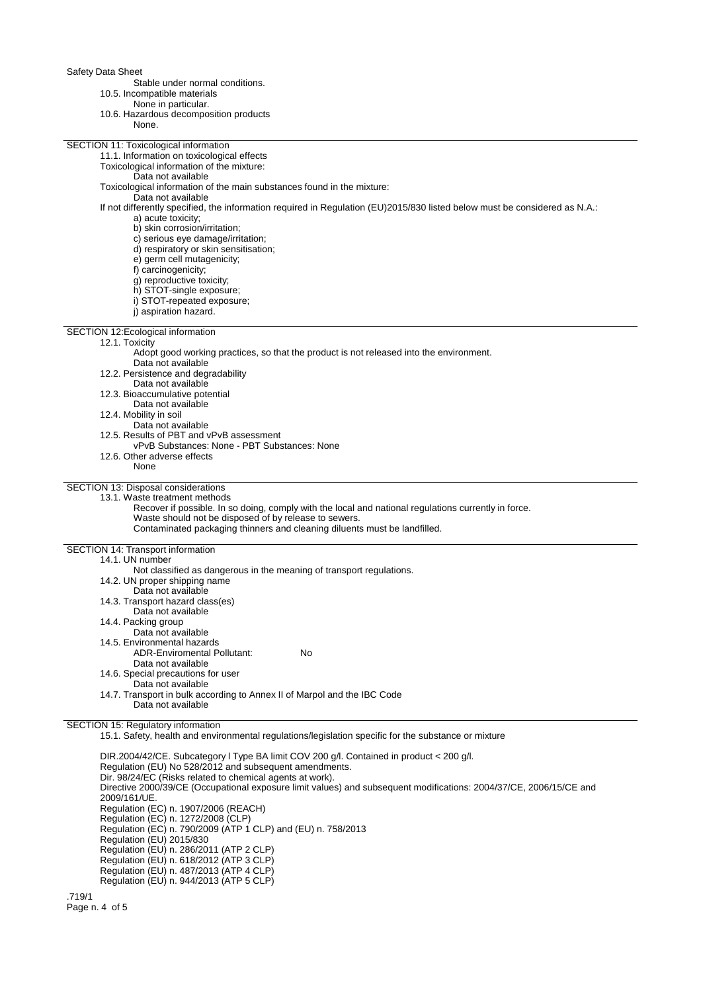Safety Data Sheet

Stable under normal conditions.

- 10.5. Incompatible materials
	- None in particular.
- 10.6. Hazardous decomposition products

| 10.6. Hazardous decomposition products                                                                                     |
|----------------------------------------------------------------------------------------------------------------------------|
| None.                                                                                                                      |
|                                                                                                                            |
| SECTION 11: Toxicological information                                                                                      |
| 11.1. Information on toxicological effects                                                                                 |
| Toxicological information of the mixture:                                                                                  |
| Data not available                                                                                                         |
| Toxicological information of the main substances found in the mixture:                                                     |
| Data not available                                                                                                         |
| If not differently specified, the information required in Regulation (EU)2015/830 listed below must be considered as N.A.: |
| a) acute toxicity;                                                                                                         |
| b) skin corrosion/irritation;                                                                                              |
|                                                                                                                            |
| c) serious eye damage/irritation;                                                                                          |
| d) respiratory or skin sensitisation;                                                                                      |
| e) germ cell mutagenicity;                                                                                                 |
| f) carcinogenicity;                                                                                                        |
| g) reproductive toxicity;                                                                                                  |
| h) STOT-single exposure;                                                                                                   |
| i) STOT-repeated exposure;                                                                                                 |
| i) aspiration hazard.                                                                                                      |
|                                                                                                                            |
| SECTION 12: Ecological information                                                                                         |
| 12.1. Toxicity                                                                                                             |
| Adopt good working practices, so that the product is not released into the environment.                                    |
| Data not available                                                                                                         |
| 12.2. Persistence and degradability                                                                                        |
| Data not available                                                                                                         |
| 12.3. Bioaccumulative potential                                                                                            |
|                                                                                                                            |
| Data not available                                                                                                         |
| 12.4. Mobility in soil                                                                                                     |
| Data not available                                                                                                         |
| 12.5. Results of PBT and vPvB assessment                                                                                   |
| vPvB Substances: None - PBT Substances: None                                                                               |
| 12.6. Other adverse effects                                                                                                |
| None                                                                                                                       |
|                                                                                                                            |
| SECTION 13: Disposal considerations                                                                                        |
| 13.1. Waste treatment methods                                                                                              |
| Recover if possible. In so doing, comply with the local and national regulations currently in force.                       |
| Waste should not be disposed of by release to sewers.                                                                      |
| Contaminated packaging thinners and cleaning diluents must be landfilled.                                                  |
|                                                                                                                            |
| SECTION 14: Transport information                                                                                          |
| 14.1. UN number                                                                                                            |
| Not classified as dangerous in the meaning of transport regulations.                                                       |
| 14.2. UN proper shipping name                                                                                              |
| Data not available                                                                                                         |
| 14.3. Transport hazard class(es)                                                                                           |
|                                                                                                                            |
| Data not available                                                                                                         |
| 14.4. Packing group                                                                                                        |
| Data not available                                                                                                         |
| 14.5. Environmental hazards                                                                                                |
| <b>ADR-Enviromental Pollutant:</b><br>No                                                                                   |
| Data not available                                                                                                         |
| 14.6. Special precautions for user                                                                                         |
| Data not available                                                                                                         |
| 14.7. Transport in bulk according to Annex II of Marpol and the IBC Code                                                   |
| Data not available                                                                                                         |
|                                                                                                                            |
| SECTION 15: Regulatory information                                                                                         |
| 15.1. Safety, health and environmental regulations/legislation specific for the substance or mixture                       |
|                                                                                                                            |
| $DID 2004/12/CF$ , Cubestegen U Type $DA$ limit $COL200 \text{ all }$ Contained in product                                 |

DIR.2004/42/CE. Subcategory l Type BA limit COV 200 g/l. Contained in product < 200 g/l. Regulation (EU) No 528/2012 and subsequent amendments. Dir. 98/24/EC (Risks related to chemical agents at work). Directive 2000/39/CE (Occupational exposure limit values) and subsequent modifications: 2004/37/CE, 2006/15/CE and 2009/161/UE. Regulation (EC) n. 1907/2006 (REACH) Regulation (EC) n. 1272/2008 (CLP) Regulation (EC) n. 790/2009 (ATP 1 CLP) and (EU) n. 758/2013 Regulation (EU) 2015/830 Regulation (EU) n. 286/2011 (ATP 2 CLP) Regulation (EU) n. 618/2012 (ATP 3 CLP) Regulation (EU) n. 487/2013 (ATP 4 CLP) Regulation (EU) n. 944/2013 (ATP 5 CLP)

.719/1 Page n. 4 of 5